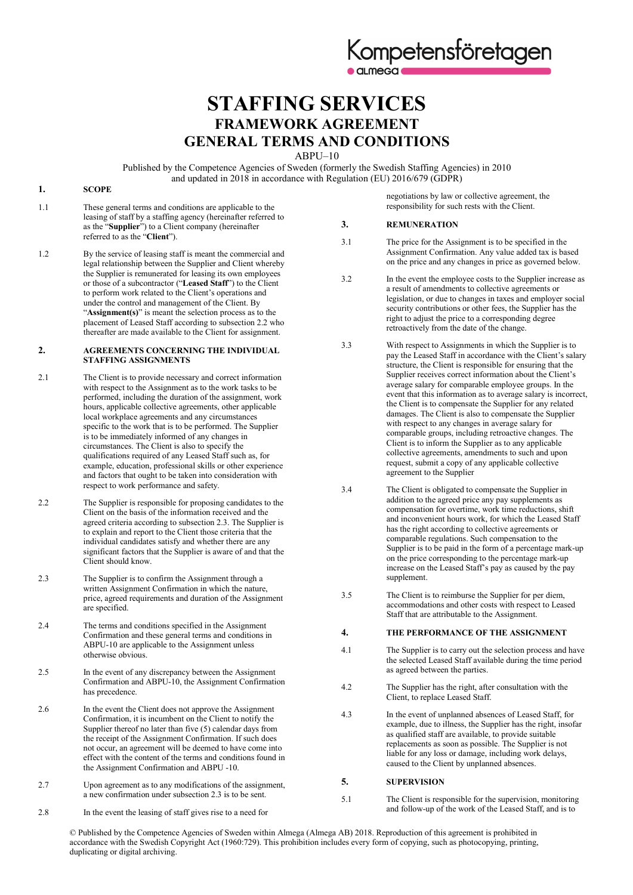# **STAFFING SERVICES FRAMEWORK AGREEMENT GENERAL TERMS AND CONDITIONS**

ABPU–10

Published by the Competence Agencies of Sweden (formerly the Swedish Staffing Agencies) in 2010 and updated in 2018 in accordance with Regulation (EU) 2016/679 (GDPR)

### **1. SCOPE**

- 1.1 These general terms and conditions are applicable to the leasing of staff by a staffing agency (hereinafter referred to as the "**Supplier**") to a Client company (hereinafter referred to as the "**Client**").
- 1.2 By the service of leasing staff is meant the commercial and legal relationship between the Supplier and Client whereby the Supplier is remunerated for leasing its own employees or those of a subcontractor ("**Leased Staff**") to the Client to perform work related to the Client's operations and under the control and management of the Client. By "**Assignment(s)**" is meant the selection process as to the placement of Leased Staff according to subsection 2.2 who thereafter are made available to the Client for assignment.

#### **2. AGREEMENTS CONCERNING THE INDIVIDUAL STAFFING ASSIGNMENTS**

- 2.1 The Client is to provide necessary and correct information with respect to the Assignment as to the work tasks to be performed, including the duration of the assignment, work hours, applicable collective agreements, other applicable local workplace agreements and any circumstances specific to the work that is to be performed. The Supplier is to be immediately informed of any changes in circumstances. The Client is also to specify the qualifications required of any Leased Staff such as, for example, education, professional skills or other experience and factors that ought to be taken into consideration with respect to work performance and safety.
- 2.2 The Supplier is responsible for proposing candidates to the Client on the basis of the information received and the agreed criteria according to subsection 2.3. The Supplier is to explain and report to the Client those criteria that the individual candidates satisfy and whether there are any significant factors that the Supplier is aware of and that the Client should know.
- 2.3 The Supplier is to confirm the Assignment through a written Assignment Confirmation in which the nature, price, agreed requirements and duration of the Assignment are specified.
- 2.4 The terms and conditions specified in the Assignment Confirmation and these general terms and conditions in ABPU-10 are applicable to the Assignment unless otherwise obvious.
- 2.5 In the event of any discrepancy between the Assignment Confirmation and ABPU-10, the Assignment Confirmation has precedence.
- 2.6 In the event the Client does not approve the Assignment Confirmation, it is incumbent on the Client to notify the Supplier thereof no later than five (5) calendar days from the receipt of the Assignment Confirmation. If such does not occur, an agreement will be deemed to have come into effect with the content of the terms and conditions found in the Assignment Confirmation and ABPU -10.
- 2.7 Upon agreement as to any modifications of the assignment, a new confirmation under subsection 2.3 is to be sent.
- 2.8 In the event the leasing of staff gives rise to a need for

negotiations by law or collective agreement, the responsibility for such rests with the Client.

### **3. REMUNERATION**

- 3.1 The price for the Assignment is to be specified in the Assignment Confirmation. Any value added tax is based on the price and any changes in price as governed below.
- 3.2 In the event the employee costs to the Supplier increase as a result of amendments to collective agreements or legislation, or due to changes in taxes and employer social security contributions or other fees, the Supplier has the right to adjust the price to a corresponding degree retroactively from the date of the change.
- 3.3 With respect to Assignments in which the Supplier is to pay the Leased Staff in accordance with the Client's salary structure, the Client is responsible for ensuring that the Supplier receives correct information about the Client's average salary for comparable employee groups. In the event that this information as to average salary is incorrect, the Client is to compensate the Supplier for any related damages. The Client is also to compensate the Supplier with respect to any changes in average salary for comparable groups, including retroactive changes. The Client is to inform the Supplier as to any applicable collective agreements, amendments to such and upon request, submit a copy of any applicable collective agreement to the Supplier
- 3.4 The Client is obligated to compensate the Supplier in addition to the agreed price any pay supplements as compensation for overtime, work time reductions, shift and inconvenient hours work, for which the Leased Staff has the right according to collective agreements or comparable regulations. Such compensation to the Supplier is to be paid in the form of a percentage mark-up on the price corresponding to the percentage mark-up increase on the Leased Staff's pay as caused by the pay supplement.
- 3.5 The Client is to reimburse the Supplier for per diem, accommodations and other costs with respect to Leased Staff that are attributable to the Assignment.

## **4. THE PERFORMANCE OF THE ASSIGNMENT**

- 4.1 The Supplier is to carry out the selection process and have the selected Leased Staff available during the time period as agreed between the parties.
- 4.2 The Supplier has the right, after consultation with the Client, to replace Leased Staff.
- 4.3 In the event of unplanned absences of Leased Staff, for example, due to illness, the Supplier has the right, insofar as qualified staff are available, to provide suitable replacements as soon as possible. The Supplier is not liable for any loss or damage, including work delays, caused to the Client by unplanned absences.

# **5. SUPERVISION**

5.1 The Client is responsible for the supervision, monitoring and follow-up of the work of the Leased Staff, and is to

© Published by the Competence Agencies of Sweden within Almega (Almega AB) 2018. Reproduction of this agreement is prohibited in accordance with the Swedish Copyright Act (1960:729). This prohibition includes every form of copying, such as photocopying, printing, duplicating or digital archiving.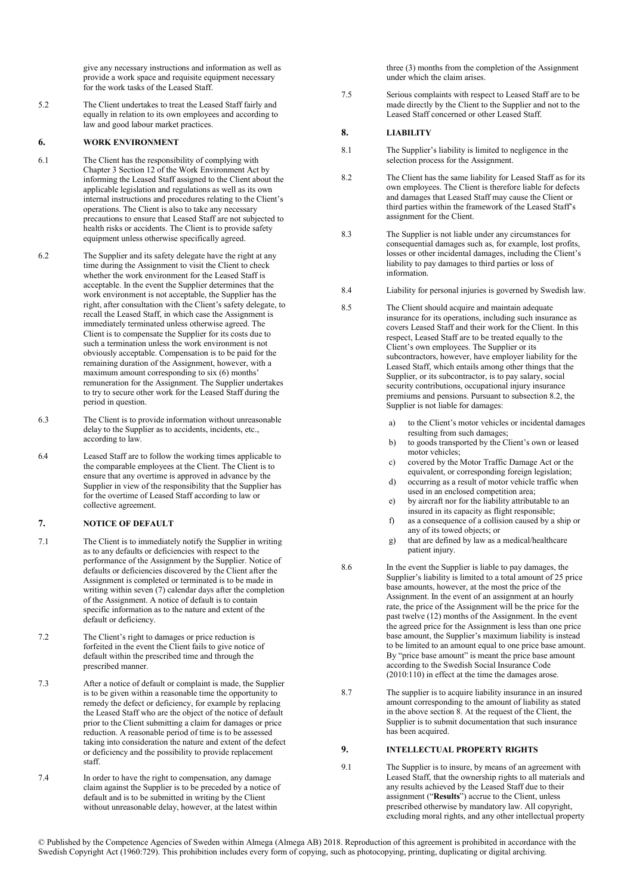give any necessary instructions and information as well as provide a work space and requisite equipment necessary for the work tasks of the Leased Staff.

5.2 The Client undertakes to treat the Leased Staff fairly and equally in relation to its own employees and according to law and good labour market practices.

### **6. WORK ENVIRONMENT**

- 6.1 The Client has the responsibility of complying with Chapter 3 Section 12 of the Work Environment Act by informing the Leased Staff assigned to the Client about the applicable legislation and regulations as well as its own internal instructions and procedures relating to the Client's operations. The Client is also to take any necessary precautions to ensure that Leased Staff are not subjected to health risks or accidents. The Client is to provide safety equipment unless otherwise specifically agreed.
- 6.2 The Supplier and its safety delegate have the right at any time during the Assignment to visit the Client to check whether the work environment for the Leased Staff is acceptable. In the event the Supplier determines that the work environment is not acceptable, the Supplier has the right, after consultation with the Client's safety delegate, to recall the Leased Staff, in which case the Assignment is immediately terminated unless otherwise agreed. The Client is to compensate the Supplier for its costs due to such a termination unless the work environment is not obviously acceptable. Compensation is to be paid for the remaining duration of the Assignment, however, with a maximum amount corresponding to six (6) months' remuneration for the Assignment. The Supplier undertakes to try to secure other work for the Leased Staff during the period in question.
- 6.3 The Client is to provide information without unreasonable delay to the Supplier as to accidents, incidents, etc., according to law.
- 6.4 Leased Staff are to follow the working times applicable to the comparable employees at the Client. The Client is to ensure that any overtime is approved in advance by the Supplier in view of the responsibility that the Supplier has for the overtime of Leased Staff according to law or collective agreement.

# **7. NOTICE OF DEFAULT**

- 7.1 The Client is to immediately notify the Supplier in writing as to any defaults or deficiencies with respect to the performance of the Assignment by the Supplier. Notice of defaults or deficiencies discovered by the Client after the Assignment is completed or terminated is to be made in writing within seven (7) calendar days after the completion of the Assignment. A notice of default is to contain specific information as to the nature and extent of the default or deficiency.
- 7.2 The Client's right to damages or price reduction is forfeited in the event the Client fails to give notice of default within the prescribed time and through the prescribed manner.
- 7.3 After a notice of default or complaint is made, the Supplier is to be given within a reasonable time the opportunity to remedy the defect or deficiency, for example by replacing the Leased Staff who are the object of the notice of default prior to the Client submitting a claim for damages or price reduction. A reasonable period of time is to be assessed taking into consideration the nature and extent of the defect or deficiency and the possibility to provide replacement staff.
- 7.4 In order to have the right to compensation, any damage claim against the Supplier is to be preceded by a notice of default and is to be submitted in writing by the Client without unreasonable delay, however, at the latest within

three (3) months from the completion of the Assignment under which the claim arises.

7.5 Serious complaints with respect to Leased Staff are to be made directly by the Client to the Supplier and not to the Leased Staff concerned or other Leased Staff.

### **8. LIABILITY**

- 8.1 The Supplier's liability is limited to negligence in the selection process for the Assignment.
- 8.2 The Client has the same liability for Leased Staff as for its own employees. The Client is therefore liable for defects and damages that Leased Staff may cause the Client or third parties within the framework of the Leased Staff's assignment for the Client.
- 8.3 The Supplier is not liable under any circumstances for consequential damages such as, for example, lost profits, losses or other incidental damages, including the Client's liability to pay damages to third parties or loss of information.
- 8.4 Liability for personal injuries is governed by Swedish law.
- 8.5 The Client should acquire and maintain adequate insurance for its operations, including such insurance as covers Leased Staff and their work for the Client. In this respect, Leased Staff are to be treated equally to the Client's own employees. The Supplier or its subcontractors, however, have employer liability for the Leased Staff, which entails among other things that the Supplier, or its subcontractor, is to pay salary, social security contributions, occupational injury insurance premiums and pensions. Pursuant to subsection 8.2, the Supplier is not liable for damages:
	- a) to the Client's motor vehicles or incidental damages resulting from such damages;
	- b) to goods transported by the Client's own or leased motor vehicles;
	- c) covered by the Motor Traffic Damage Act or the equivalent, or corresponding foreign legislation;
	- d) occurring as a result of motor vehicle traffic when used in an enclosed competition area;
	- e) by aircraft nor for the liability attributable to an insured in its capacity as flight responsible;
	- f) as a consequence of a collision caused by a ship or any of its towed objects; or
	- g) that are defined by law as a medical/healthcare patient injury.
- 8.6 In the event the Supplier is liable to pay damages, the Supplier's liability is limited to a total amount of 25 price base amounts, however, at the most the price of the Assignment. In the event of an assignment at an hourly rate, the price of the Assignment will be the price for the past twelve (12) months of the Assignment. In the event the agreed price for the Assignment is less than one price base amount, the Supplier's maximum liability is instead to be limited to an amount equal to one price base amount. By "price base amount" is meant the price base amount according to the Swedish Social Insurance Code (2010:110) in effect at the time the damages arose.
- 8.7 The supplier is to acquire liability insurance in an insured amount corresponding to the amount of liability as stated in the above section 8. At the request of the Client, the Supplier is to submit documentation that such insurance has been acquired.

# **9. INTELLECTUAL PROPERTY RIGHTS**

9.1 The Supplier is to insure, by means of an agreement with Leased Staff, that the ownership rights to all materials and any results achieved by the Leased Staff due to their assignment ("**Results**") accrue to the Client, unless prescribed otherwise by mandatory law. All copyright, excluding moral rights, and any other intellectual property